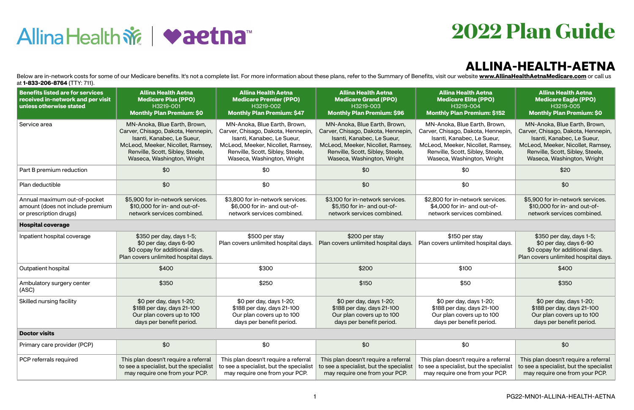

## **ALLINA-HEALTH-AETNA**



Below are in-network costs for some of our Medicare benefits. It's not a complete list. For more information about these plans, refer to the Summary of Benefits, visit our website **[www.AllinaHealthAetnaMedicare.com](http://www.AllinaHealthAetnaMedicare.com)** or cal at **1-833-206-8764** (TTY: 711).

| Benefits listed are for services<br>received in-network and per visit<br>unless otherwise stated | <b>Allina Health Aetna</b><br><b>Medicare Plus (PPO)</b><br>H3219-001<br><b>Monthly Plan Premium: \$0</b>                                                                                               | <b>Allina Health Aetna</b><br><b>Medicare Premier (PPO)</b><br>H3219-002<br><b>Monthly Plan Premium: \$47</b>                                                                                          | <b>Allina Health Aetna</b><br><b>Medicare Grand (PPO)</b><br>H3219-003<br><b>Monthly Plan Premium: \$96</b>                                                                                             | <b>Allina Health Aetna</b><br><b>Medicare Elite (PPO)</b><br>H3219-004<br><b>Monthly Plan Premium: \$152</b>                                                                                            | <b>Allina Health Aetna</b><br><b>Medicare Eagle (PPO)</b><br>H3219-005<br><b>Monthly Plan Premium: \$0</b>                                                                                              |  |
|--------------------------------------------------------------------------------------------------|---------------------------------------------------------------------------------------------------------------------------------------------------------------------------------------------------------|--------------------------------------------------------------------------------------------------------------------------------------------------------------------------------------------------------|---------------------------------------------------------------------------------------------------------------------------------------------------------------------------------------------------------|---------------------------------------------------------------------------------------------------------------------------------------------------------------------------------------------------------|---------------------------------------------------------------------------------------------------------------------------------------------------------------------------------------------------------|--|
| Service area                                                                                     | MN-Anoka, Blue Earth, Brown,<br>Carver, Chisago, Dakota, Hennepin,<br>Isanti, Kanabec, Le Sueur,<br>McLeod, Meeker, Nicollet, Ramsey,<br>Renville, Scott, Sibley, Steele,<br>Waseca, Washington, Wright | MN-Anoka, Blue Earth, Brown,<br>Carver, Chisago, Dakota, Hennepin<br>Isanti, Kanabec, Le Sueur,<br>McLeod, Meeker, Nicollet, Ramsey,<br>Renville, Scott, Sibley, Steele,<br>Waseca, Washington, Wright | MN-Anoka, Blue Earth, Brown,<br>Carver, Chisago, Dakota, Hennepin,<br>Isanti, Kanabec, Le Sueur,<br>McLeod, Meeker, Nicollet, Ramsey,<br>Renville, Scott, Sibley, Steele,<br>Waseca, Washington, Wright | MN-Anoka, Blue Earth, Brown,<br>Carver, Chisago, Dakota, Hennepin,<br>Isanti, Kanabec, Le Sueur,<br>McLeod, Meeker, Nicollet, Ramsey,<br>Renville, Scott, Sibley, Steele,<br>Waseca, Washington, Wright | MN-Anoka, Blue Earth, Brown,<br>Carver, Chisago, Dakota, Hennepin,<br>Isanti, Kanabec, Le Sueur,<br>McLeod, Meeker, Nicollet, Ramsey,<br>Renville, Scott, Sibley, Steele,<br>Waseca, Washington, Wright |  |
| Part B premium reduction                                                                         | \$0                                                                                                                                                                                                     | \$0                                                                                                                                                                                                    | \$0                                                                                                                                                                                                     | \$0                                                                                                                                                                                                     | \$20                                                                                                                                                                                                    |  |
| Plan deductible                                                                                  | \$0                                                                                                                                                                                                     | \$0                                                                                                                                                                                                    | \$0                                                                                                                                                                                                     | \$0                                                                                                                                                                                                     | \$0                                                                                                                                                                                                     |  |
| Annual maximum out-of-pocket<br>amount (does not include premium<br>or prescription drugs)       | \$5,900 for in-network services.<br>\$10,000 for in- and out-of-<br>network services combined.                                                                                                          | \$3,800 for in-network services.<br>\$6,000 for in- and out-of-<br>network services combined.                                                                                                          | \$3,100 for in-network services.<br>\$5,150 for in- and out-of-<br>network services combined.                                                                                                           | \$2,800 for in-network services.<br>\$4,000 for in- and out-of-<br>network services combined.                                                                                                           | \$5,900 for in-network services.<br>\$10,000 for in- and out-of-<br>network services combined.                                                                                                          |  |
| <b>Hospital coverage</b>                                                                         |                                                                                                                                                                                                         |                                                                                                                                                                                                        |                                                                                                                                                                                                         |                                                                                                                                                                                                         |                                                                                                                                                                                                         |  |
| Inpatient hospital coverage                                                                      | \$350 per day, days 1-5;<br>\$0 per day, days 6-90<br>\$0 copay for additional days.<br>Plan covers unlimited hospital days.                                                                            | $$500$ per stay<br>Plan covers unlimited hospital days.                                                                                                                                                | $$200$ per stay<br>Plan covers unlimited hospital days.                                                                                                                                                 | \$150 per stay<br>Plan covers unlimited hospital days.                                                                                                                                                  | \$350 per day, days 1-5;<br>\$0 per day, days 6-90<br>\$0 copay for additional days.<br>Plan covers unlimited hospital days.                                                                            |  |
| Outpatient hospital                                                                              | \$400                                                                                                                                                                                                   | \$300                                                                                                                                                                                                  | \$200                                                                                                                                                                                                   | \$100                                                                                                                                                                                                   | \$400                                                                                                                                                                                                   |  |
| Ambulatory surgery center<br>(ASC)                                                               | \$350                                                                                                                                                                                                   | \$250                                                                                                                                                                                                  | \$150                                                                                                                                                                                                   | \$50                                                                                                                                                                                                    | \$350                                                                                                                                                                                                   |  |
| Skilled nursing facility                                                                         | \$0 per day, days 1-20;<br>\$188 per day, days 21-100<br>Our plan covers up to 100<br>days per benefit period.                                                                                          | \$0 per day, days 1-20;<br>\$188 per day, days 21-100<br>Our plan covers up to 100<br>days per benefit period.                                                                                         | \$0 per day, days 1-20;<br>\$188 per day, days 21-100<br>Our plan covers up to 100<br>days per benefit period.                                                                                          | \$0 per day, days 1-20;<br>\$188 per day, days 21-100<br>Our plan covers up to 100<br>days per benefit period.                                                                                          | \$0 per day, days 1-20;<br>\$188 per day, days 21-100<br>Our plan covers up to 100<br>days per benefit period.                                                                                          |  |
| <b>Doctor visits</b>                                                                             |                                                                                                                                                                                                         |                                                                                                                                                                                                        |                                                                                                                                                                                                         |                                                                                                                                                                                                         |                                                                                                                                                                                                         |  |
| Primary care provider (PCP)                                                                      | \$0                                                                                                                                                                                                     | \$0                                                                                                                                                                                                    | \$0                                                                                                                                                                                                     | \$0                                                                                                                                                                                                     | \$0                                                                                                                                                                                                     |  |
| PCP referrals required                                                                           | This plan doesn't require a referral<br>to see a specialist, but the specialist<br>may require one from your PCP.                                                                                       | This plan doesn't require a referral<br>to see a specialist, but the specialist<br>may require one from your PCP.                                                                                      | This plan doesn't require a referral<br>to see a specialist, but the specialist<br>may require one from your PCP.                                                                                       | This plan doesn't require a referral<br>to see a specialist, but the specialist<br>may require one from your PCP.                                                                                       | This plan doesn't require a referral<br>to see a specialist, but the specialist<br>may require one from your PCP.                                                                                       |  |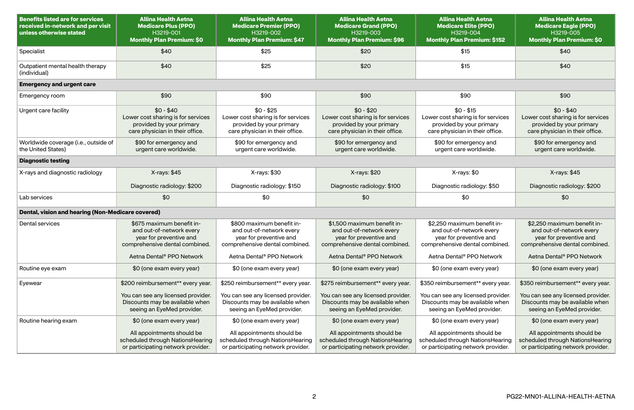| <b>Benefits listed are for services</b><br>received in-network and per visit<br>unless otherwise stated | <b>Allina Health Aetna</b><br><b>Medicare Plus (PPO)</b><br>H3219-001<br><b>Monthly Plan Premium: \$0</b>                                                   | <b>Allina Health Aetna</b><br><b>Medicare Premier (PPO)</b><br>H3219-002<br><b>Monthly Plan Premium: \$47</b>                                               | <b>Allina Health Aetna</b><br><b>Medicare Grand (PPO)</b><br>H3219-003<br><b>Monthly Plan Premium: \$96</b>                                       | <b>Allina Health Aetna</b><br><b>Medicare Elite (PPO)</b><br>H3219-004<br><b>Monthly Plan Premium: \$152</b>                                                  | <b>Allina Health Aetna</b><br><b>Medicare Eagle (PPO)</b><br>H3219-005<br><b>Monthly Plan Premium: \$0</b>                                                    |
|---------------------------------------------------------------------------------------------------------|-------------------------------------------------------------------------------------------------------------------------------------------------------------|-------------------------------------------------------------------------------------------------------------------------------------------------------------|---------------------------------------------------------------------------------------------------------------------------------------------------|---------------------------------------------------------------------------------------------------------------------------------------------------------------|---------------------------------------------------------------------------------------------------------------------------------------------------------------|
| Specialist                                                                                              | \$40                                                                                                                                                        | \$25                                                                                                                                                        | \$20                                                                                                                                              | \$15                                                                                                                                                          | \$40                                                                                                                                                          |
| Outpatient mental health therapy<br>(individual)                                                        | \$40                                                                                                                                                        | \$25                                                                                                                                                        | \$20                                                                                                                                              | \$15                                                                                                                                                          | \$40                                                                                                                                                          |
| <b>Emergency and urgent care</b>                                                                        |                                                                                                                                                             |                                                                                                                                                             |                                                                                                                                                   |                                                                                                                                                               |                                                                                                                                                               |
| Emergency room                                                                                          | \$90                                                                                                                                                        | \$90                                                                                                                                                        | \$90                                                                                                                                              | \$90                                                                                                                                                          | \$90                                                                                                                                                          |
| Urgent care facility                                                                                    | $$0 - $40$<br>Lower cost sharing is for services<br>provided by your primary<br>care physician in their office.                                             | $$0 - $25$<br>Lower cost sharing is for services<br>provided by your primary<br>care physician in their office.                                             | $$0 - $20$<br>Lower cost sharing is for services<br>provided by your primary<br>care physician in their office.                                   | $$0 - $15$<br>Lower cost sharing is for services<br>provided by your primary<br>care physician in their office.                                               | $$0 - $40$<br>Lower cost sharing is for services<br>provided by your primary<br>care physician in their office.                                               |
| Worldwide coverage (i.e., outside of<br>the United States)                                              | \$90 for emergency and<br>urgent care worldwide.                                                                                                            | \$90 for emergency and<br>urgent care worldwide.                                                                                                            | \$90 for emergency and<br>urgent care worldwide.                                                                                                  | \$90 for emergency and<br>urgent care worldwide.                                                                                                              | \$90 for emergency and<br>urgent care worldwide.                                                                                                              |
| <b>Diagnostic testing</b>                                                                               |                                                                                                                                                             |                                                                                                                                                             |                                                                                                                                                   |                                                                                                                                                               |                                                                                                                                                               |
| X-rays and diagnostic radiology                                                                         | X-rays: \$45                                                                                                                                                | X-rays: \$30                                                                                                                                                | X-rays: \$20                                                                                                                                      | X-rays: \$0                                                                                                                                                   | X-rays: \$45                                                                                                                                                  |
|                                                                                                         | Diagnostic radiology: \$200                                                                                                                                 | Diagnostic radiology: \$150                                                                                                                                 | Diagnostic radiology: \$100                                                                                                                       | Diagnostic radiology: \$50                                                                                                                                    | Diagnostic radiology: \$200                                                                                                                                   |
| Lab services                                                                                            | \$0                                                                                                                                                         | \$0                                                                                                                                                         | \$0                                                                                                                                               | \$0                                                                                                                                                           | \$0                                                                                                                                                           |
| Dental, vision and hearing (Non-Medicare covered)                                                       |                                                                                                                                                             |                                                                                                                                                             |                                                                                                                                                   |                                                                                                                                                               |                                                                                                                                                               |
| Dental services                                                                                         | \$675 maximum benefit in-<br>and out-of-network every<br>year for preventive and<br>comprehensive dental combined.<br>Aetna Dental <sup>®</sup> PPO Network | \$800 maximum benefit in-<br>and out-of-network every<br>year for preventive and<br>comprehensive dental combined.<br>Aetna Dental <sup>®</sup> PPO Network | \$1,500 maximum benefit in-<br>and out-of-network every<br>year for preventive and<br>comprehensive dental combined.<br>Aetna Dental® PPO Network | \$2,250 maximum benefit in-<br>and out-of-network every<br>year for preventive and<br>comprehensive dental combined.<br>Aetna Dental <sup>®</sup> PPO Network | \$2,250 maximum benefit in-<br>and out-of-network every<br>year for preventive and<br>comprehensive dental combined.<br>Aetna Dental <sup>®</sup> PPO Network |
| Routine eye exam                                                                                        | \$0 (one exam every year)                                                                                                                                   | \$0 (one exam every year)                                                                                                                                   | \$0 (one exam every year)                                                                                                                         | \$0 (one exam every year)                                                                                                                                     | \$0 (one exam every year)                                                                                                                                     |
| Eyewear                                                                                                 | \$200 reimbursement** every year.                                                                                                                           | \$250 reimbursement** every year.                                                                                                                           | \$275 reimbursement** every year.                                                                                                                 | \$350 reimbursement** every year.                                                                                                                             | \$350 reimbursement** every year.                                                                                                                             |
|                                                                                                         | You can see any licensed provider.<br>Discounts may be available when<br>seeing an EyeMed provider.                                                         | You can see any licensed provider.<br>Discounts may be available when<br>seeing an EyeMed provider.                                                         | You can see any licensed provider.<br>Discounts may be available when<br>seeing an EyeMed provider.                                               | You can see any licensed provider.<br>Discounts may be available when<br>seeing an EyeMed provider.                                                           | You can see any licensed provider.<br>Discounts may be available when<br>seeing an EyeMed provider.                                                           |
| Routine hearing exam                                                                                    | \$0 (one exam every year)                                                                                                                                   | \$0 (one exam every year)                                                                                                                                   | \$0 (one exam every year)                                                                                                                         | \$0 (one exam every year)                                                                                                                                     | \$0 (one exam every year)                                                                                                                                     |
|                                                                                                         | All appointments should be<br>scheduled through NationsHearing<br>or participating network provider.                                                        | All appointments should be<br>scheduled through NationsHearing<br>or participating network provider.                                                        | All appointments should be<br>scheduled through NationsHearing<br>or participating network provider.                                              | All appointments should be<br>scheduled through NationsHearing<br>or participating network provider.                                                          | All appointments should be<br>scheduled through NationsHearing<br>or participating network provider.                                                          |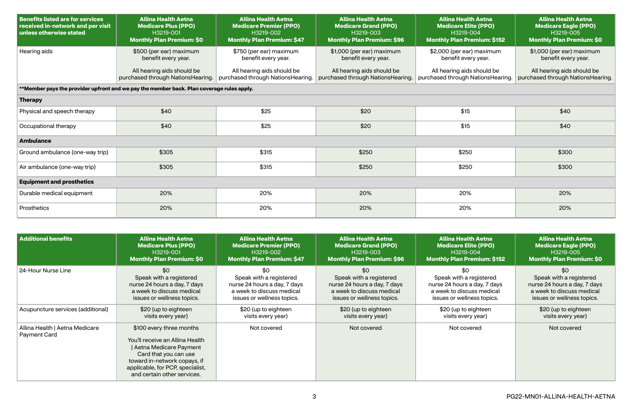| <b>Benefits listed are for services</b><br>received in-network and per visit<br>unless otherwise stated | <b>Allina Health Aetna</b><br><b>Medicare Plus (PPO)</b><br>H3219-001<br><b>Monthly Plan Premium: \$0</b> | <b>Allina Health Aetna</b><br><b>Medicare Premier (PPO)</b><br>H3219-002<br><b>Monthly Plan Premium: \$47</b> | <b>Allina Health Aetna</b><br><b>Medicare Grand (PPO)</b><br>H3219-003<br><b>Monthly Plan Premium: \$96</b> | <b>Allina Health Aetna</b><br><b>Medicare Elite (PPO)</b><br>H3219-004<br><b>Monthly Plan Premium: \$152</b> | <b>Allina Health Aetna</b><br><b>Medicare Eagle (PPO)</b><br>H3219-005<br><b>Monthly Plan Premium: \$0</b> |  |  |
|---------------------------------------------------------------------------------------------------------|-----------------------------------------------------------------------------------------------------------|---------------------------------------------------------------------------------------------------------------|-------------------------------------------------------------------------------------------------------------|--------------------------------------------------------------------------------------------------------------|------------------------------------------------------------------------------------------------------------|--|--|
| Hearing aids                                                                                            | \$500 (per ear) maximum<br>benefit every year.                                                            | \$750 (per ear) maximum<br>benefit every year.                                                                | \$1,000 (per ear) maximum<br>benefit every year.                                                            | \$2,000 (per ear) maximum<br>benefit every year.                                                             | \$1,000 (per ear) maximum<br>benefit every year.                                                           |  |  |
|                                                                                                         | All hearing aids should be<br>purchased through NationsHearing.                                           | All hearing aids should be<br>purchased through NationsHearing.                                               | All hearing aids should be<br>purchased through NationsHearing.                                             | All hearing aids should be<br>purchased through NationsHearing.                                              | All hearing aids should be<br>purchased through NationsHearing.                                            |  |  |
|                                                                                                         | **Member pays the provider upfront and we pay the member back. Plan coverage rules apply.                 |                                                                                                               |                                                                                                             |                                                                                                              |                                                                                                            |  |  |
| <b>Therapy</b>                                                                                          |                                                                                                           |                                                                                                               |                                                                                                             |                                                                                                              |                                                                                                            |  |  |
| Physical and speech therapy                                                                             | \$40                                                                                                      | \$25                                                                                                          | \$20                                                                                                        | \$15                                                                                                         | \$40                                                                                                       |  |  |
| Occupational therapy                                                                                    | \$40                                                                                                      | \$25                                                                                                          | \$20                                                                                                        | \$15                                                                                                         | \$40                                                                                                       |  |  |
| <b>Ambulance</b>                                                                                        |                                                                                                           |                                                                                                               |                                                                                                             |                                                                                                              |                                                                                                            |  |  |
| Ground ambulance (one-way trip)                                                                         | \$305                                                                                                     | \$315                                                                                                         | \$250                                                                                                       | \$250                                                                                                        | \$300                                                                                                      |  |  |
| Air ambulance (one-way trip)                                                                            | \$305                                                                                                     | \$315                                                                                                         | \$250                                                                                                       | \$250                                                                                                        | \$300                                                                                                      |  |  |
| <b>Equipment and prosthetics</b>                                                                        |                                                                                                           |                                                                                                               |                                                                                                             |                                                                                                              |                                                                                                            |  |  |
| Durable medical equipment                                                                               | 20%                                                                                                       | 20%                                                                                                           | 20%                                                                                                         | 20%                                                                                                          | 20%                                                                                                        |  |  |
| Prosthetics                                                                                             | 20%                                                                                                       | 20%                                                                                                           | 20%                                                                                                         | 20%                                                                                                          | 20%                                                                                                        |  |  |

| <b>Additional benefits</b>                            | <b>Allina Health Aetna</b>                                                                                                                                                                                        | <b>Allina Health Aetna</b>        | <b>Allina Health Aetna</b>        | <b>Allina Health Aetna</b>         | <b>Allina Health Aetna</b>       |
|-------------------------------------------------------|-------------------------------------------------------------------------------------------------------------------------------------------------------------------------------------------------------------------|-----------------------------------|-----------------------------------|------------------------------------|----------------------------------|
|                                                       | <b>Medicare Plus (PPO)</b>                                                                                                                                                                                        | <b>Medicare Premier (PPO)</b>     | <b>Medicare Grand (PPO)</b>       | <b>Medicare Elite (PPO)</b>        | <b>Medicare Eagle (PPO)</b>      |
|                                                       | H3219-001                                                                                                                                                                                                         | H3219-002                         | H3219-003                         | H3219-004                          | H3219-005                        |
|                                                       | <b>Monthly Plan Premium: \$0</b>                                                                                                                                                                                  | <b>Monthly Plan Premium: \$47</b> | <b>Monthly Plan Premium: \$96</b> | <b>Monthly Plan Premium: \$152</b> | <b>Monthly Plan Premium: \$0</b> |
| 24-Hour Nurse Line                                    | \$0                                                                                                                                                                                                               | \$0                               | \$0                               | \$0                                | \$0                              |
|                                                       | Speak with a registered                                                                                                                                                                                           | Speak with a registered           | Speak with a registered           | Speak with a registered            | Speak with a registered          |
|                                                       | nurse 24 hours a day, 7 days                                                                                                                                                                                      | nurse 24 hours a day, 7 days      | nurse 24 hours a day, 7 days      | nurse 24 hours a day, 7 days       | nurse 24 hours a day, 7 days     |
|                                                       | a week to discuss medical                                                                                                                                                                                         | a week to discuss medical         | a week to discuss medical         | a week to discuss medical          | a week to discuss medical        |
|                                                       | issues or wellness topics.                                                                                                                                                                                        | issues or wellness topics.        | issues or wellness topics.        | issues or wellness topics.         | issues or wellness topics.       |
| Acupuncture services (additional)                     | \$20 (up to eighteen                                                                                                                                                                                              | \$20 (up to eighteen              | \$20 (up to eighteen              | \$20 (up to eighteen               | \$20 (up to eighteen             |
|                                                       | visits every year)                                                                                                                                                                                                | visits every year)                | visits every year)                | visits every year)                 | visits every year)               |
| Allina Health   Aetna Medicare<br><b>Payment Card</b> | \$100 every three months<br>You'll receive an Allina Health<br>Aetna Medicare Payment<br>Card that you can use<br>toward in-network copays, if<br>applicable, for PCP, specialist,<br>and certain other services. | Not covered                       | Not covered                       | Not covered                        | Not covered                      |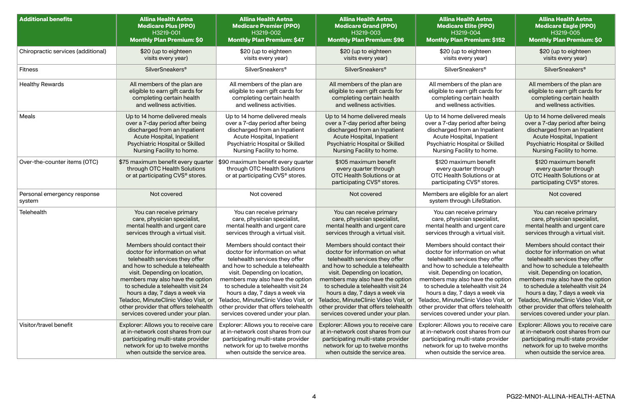| <b>Additional benefits</b>            | <b>Allina Health Aetna</b>                                                                             | <b>Allina Health Aetna</b>                                                                             | <b>Allina Health Aetna</b>                                                                                             | <b>Allina Health Aetna</b>                                                                                             | <b>Allina Health Aetna</b>                                                                                             |
|---------------------------------------|--------------------------------------------------------------------------------------------------------|--------------------------------------------------------------------------------------------------------|------------------------------------------------------------------------------------------------------------------------|------------------------------------------------------------------------------------------------------------------------|------------------------------------------------------------------------------------------------------------------------|
|                                       | <b>Medicare Plus (PPO)</b>                                                                             | <b>Medicare Premier (PPO)</b>                                                                          | <b>Medicare Grand (PPO)</b>                                                                                            | <b>Medicare Elite (PPO)</b>                                                                                            | <b>Medicare Eagle (PPO)</b>                                                                                            |
|                                       | H3219-001                                                                                              | H3219-002                                                                                              | H3219-003                                                                                                              | H3219-004                                                                                                              | H3219-005                                                                                                              |
|                                       | <b>Monthly Plan Premium: \$0</b>                                                                       | <b>Monthly Plan Premium: \$47</b>                                                                      | <b>Monthly Plan Premium: \$96</b>                                                                                      | <b>Monthly Plan Premium: \$152</b>                                                                                     | <b>Monthly Plan Premium: \$0</b>                                                                                       |
| Chiropractic services (additional)    | \$20 (up to eighteen                                                                                   | \$20 (up to eighteen                                                                                   | \$20 (up to eighteen                                                                                                   | \$20 (up to eighteen                                                                                                   | \$20 (up to eighteen                                                                                                   |
|                                       | visits every year)                                                                                     | visits every year)                                                                                     | visits every year)                                                                                                     | visits every year)                                                                                                     | visits every year)                                                                                                     |
| <b>Fitness</b>                        | <b>SilverSneakers<sup>®</sup></b>                                                                      | SilverSneakers <sup>®</sup>                                                                            | <b>SilverSneakers®</b>                                                                                                 | <b>SilverSneakers<sup>®</sup></b>                                                                                      | SilverSneakers®                                                                                                        |
| <b>Healthy Rewards</b>                | All members of the plan are                                                                            | All members of the plan are                                                                            | All members of the plan are                                                                                            | All members of the plan are                                                                                            | All members of the plan are                                                                                            |
|                                       | eligible to earn gift cards for                                                                        | eligible to earn gift cards for                                                                        | eligible to earn gift cards for                                                                                        | eligible to earn gift cards for                                                                                        | eligible to earn gift cards for                                                                                        |
|                                       | completing certain health                                                                              | completing certain health                                                                              | completing certain health                                                                                              | completing certain health                                                                                              | completing certain health                                                                                              |
|                                       | and wellness activities.                                                                               | and wellness activities.                                                                               | and wellness activities.                                                                                               | and wellness activities.                                                                                               | and wellness activities.                                                                                               |
| Meals                                 | Up to 14 home delivered meals                                                                          | Up to 14 home delivered meals                                                                          | Up to 14 home delivered meals                                                                                          | Up to 14 home delivered meals                                                                                          | Up to 14 home delivered meals                                                                                          |
|                                       | over a 7-day period after being                                                                        | over a 7-day period after being                                                                        | over a 7-day period after being                                                                                        | over a 7-day period after being                                                                                        | over a 7-day period after being                                                                                        |
|                                       | discharged from an Inpatient                                                                           | discharged from an Inpatient                                                                           | discharged from an Inpatient                                                                                           | discharged from an Inpatient                                                                                           | discharged from an Inpatient                                                                                           |
|                                       | Acute Hospital, Inpatient                                                                              | Acute Hospital, Inpatient                                                                              | Acute Hospital, Inpatient                                                                                              | Acute Hospital, Inpatient                                                                                              | Acute Hospital, Inpatient                                                                                              |
|                                       | Psychiatric Hospital or Skilled                                                                        | Psychiatric Hospital or Skilled                                                                        | Psychiatric Hospital or Skilled                                                                                        | Psychiatric Hospital or Skilled                                                                                        | Psychiatric Hospital or Skilled                                                                                        |
|                                       | Nursing Facility to home.                                                                              | Nursing Facility to home.                                                                              | Nursing Facility to home.                                                                                              | Nursing Facility to home.                                                                                              | Nursing Facility to home.                                                                                              |
| Over-the-counter items (OTC)          | \$75 maximum benefit every quarter<br>through OTC Health Solutions<br>or at participating CVS® stores. | \$90 maximum benefit every quarter<br>through OTC Health Solutions<br>or at participating CVS® stores. | \$105 maximum benefit<br>every quarter through<br>OTC Health Solutions or at<br>participating CVS <sup>®</sup> stores. | \$120 maximum benefit<br>every quarter through<br>OTC Health Solutions or at<br>participating CVS <sup>®</sup> stores. | \$120 maximum benefit<br>every quarter through<br>OTC Health Solutions or at<br>participating CVS <sup>®</sup> stores. |
| Personal emergency response<br>system | Not covered                                                                                            | Not covered                                                                                            | Not covered                                                                                                            | Members are eligible for an alert<br>system through LifeStation.                                                       | Not covered                                                                                                            |
| Telehealth                            | You can receive primary                                                                                | You can receive primary                                                                                | You can receive primary                                                                                                | You can receive primary                                                                                                | You can receive primary                                                                                                |
|                                       | care, physician specialist,                                                                            | care, physician specialist,                                                                            | care, physician specialist,                                                                                            | care, physician specialist,                                                                                            | care, physician specialist,                                                                                            |
|                                       | mental health and urgent care                                                                          | mental health and urgent care                                                                          | mental health and urgent care                                                                                          | mental health and urgent care                                                                                          | mental health and urgent care                                                                                          |
|                                       | services through a virtual visit.                                                                      | services through a virtual visit.                                                                      | services through a virtual visit.                                                                                      | services through a virtual visit.                                                                                      | services through a virtual visit.                                                                                      |
|                                       | Members should contact their                                                                           | Members should contact their                                                                           | Members should contact their                                                                                           | Members should contact their                                                                                           | Members should contact their                                                                                           |
|                                       | doctor for information on what                                                                         | doctor for information on what                                                                         | doctor for information on what                                                                                         | doctor for information on what                                                                                         | doctor for information on what                                                                                         |
|                                       | telehealth services they offer                                                                         | telehealth services they offer                                                                         | telehealth services they offer                                                                                         | telehealth services they offer                                                                                         | telehealth services they offer                                                                                         |
|                                       | and how to schedule a telehealth                                                                       | and how to schedule a telehealth                                                                       | and how to schedule a telehealth                                                                                       | and how to schedule a telehealth                                                                                       | and how to schedule a telehealth                                                                                       |
|                                       | visit. Depending on location,                                                                          | visit. Depending on location,                                                                          | visit. Depending on location,                                                                                          | visit. Depending on location,                                                                                          | visit. Depending on location,                                                                                          |
|                                       | members may also have the option                                                                       | members may also have the option                                                                       | members may also have the option                                                                                       | members may also have the option                                                                                       | members may also have the option                                                                                       |
|                                       | to schedule a telehealth visit 24                                                                      | to schedule a telehealth visit 24                                                                      | to schedule a telehealth visit 24                                                                                      | to schedule a telehealth visit 24                                                                                      | to schedule a telehealth visit 24                                                                                      |
|                                       | hours a day, 7 days a week via                                                                         | hours a day, 7 days a week via                                                                         | hours a day, 7 days a week via                                                                                         | hours a day, 7 days a week via                                                                                         | hours a day, 7 days a week via                                                                                         |
|                                       | Teladoc, MinuteClinic Video Visit, or                                                                  | Teladoc, MinuteClinic Video Visit, or                                                                  | Teladoc, MinuteClinic Video Visit, or                                                                                  | Teladoc, MinuteClinic Video Visit, or                                                                                  | Teladoc, MinuteClinic Video Visit, or                                                                                  |
|                                       | other provider that offers telehealth                                                                  | other provider that offers telehealth                                                                  | other provider that offers telehealth                                                                                  | other provider that offers telehealth                                                                                  | other provider that offers telehealth                                                                                  |
|                                       | services covered under your plan.                                                                      | services covered under your plan.                                                                      | services covered under your plan.                                                                                      | services covered under your plan.                                                                                      | services covered under your plan.                                                                                      |
| Visitor/travel benefit                | Explorer: Allows you to receive care                                                                   | Explorer: Allows you to receive care                                                                   | Explorer: Allows you to receive care                                                                                   | Explorer: Allows you to receive care                                                                                   | Explorer: Allows you to receive care                                                                                   |
|                                       | at in-network cost shares from our                                                                     | at in-network cost shares from our                                                                     | at in-network cost shares from our                                                                                     | at in-network cost shares from our                                                                                     | at in-network cost shares from our                                                                                     |
|                                       | participating multi-state provider                                                                     | participating multi-state provider                                                                     | participating multi-state provider                                                                                     | participating multi-state provider                                                                                     | participating multi-state provider                                                                                     |
|                                       | network for up to twelve months                                                                        | network for up to twelve months                                                                        | network for up to twelve months                                                                                        | network for up to twelve months                                                                                        | network for up to twelve months                                                                                        |
|                                       | when outside the service area.                                                                         | when outside the service area.                                                                         | when outside the service area.                                                                                         | when outside the service area.                                                                                         | when outside the service area.                                                                                         |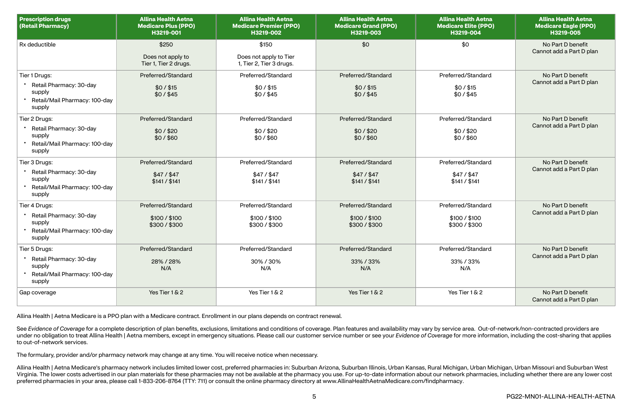| <b>Prescription drugs</b><br>(Retail Pharmacy)                                                | <b>Allina Health Aetna</b><br><b>Medicare Plus (PPO)</b><br>H3219-001 | <b>Allina Health Aetna</b><br><b>Medicare Premier (PPO)</b><br>H3219-002 | <b>Allina Health Aetna</b><br><b>Medicare Grand (PPO)</b><br>H3219-003 | <b>Allina Health Aetna</b><br><b>Medicare Elite (PPO)</b><br>H3219-004 | <b>Allina Health Aetna</b><br><b>Medicare Eagle (PPO)</b><br>H3219-005 |
|-----------------------------------------------------------------------------------------------|-----------------------------------------------------------------------|--------------------------------------------------------------------------|------------------------------------------------------------------------|------------------------------------------------------------------------|------------------------------------------------------------------------|
| Rx deductible                                                                                 | \$250<br>Does not apply to<br>Tier 1, Tier 2 drugs.                   | \$150<br>Does not apply to Tier<br>1, Tier 2, Tier 3 drugs.              | \$0                                                                    | \$0                                                                    | No Part D benefit<br>Cannot add a Part D plan                          |
| Tier 1 Drugs:<br>Retail Pharmacy: 30-day<br>supply<br>Retail/Mail Pharmacy: 100-day<br>supply | Preferred/Standard<br>$$0/$ \$15<br>\$0/\$45                          | Preferred/Standard<br>$$0/$ \$15<br>$$0/$ \$45                           | Preferred/Standard<br>$$0/$ \$15<br>\$0/\$45                           | Preferred/Standard<br>$$0/$ \$15<br>$$0/$ \$45                         | No Part D benefit<br>Cannot add a Part D plan                          |
| Tier 2 Drugs:<br>Retail Pharmacy: 30-day<br>supply<br>Retail/Mail Pharmacy: 100-day<br>supply | Preferred/Standard<br>\$0/\$20<br>$$0/$ \$60                          | Preferred/Standard<br>\$0/\$20<br>\$0/\$60                               | Preferred/Standard<br>\$0/\$20<br>$$0/$ \$60                           | Preferred/Standard<br>\$0/\$20<br>\$0/\$60                             | No Part D benefit<br>Cannot add a Part D plan                          |
| Tier 3 Drugs:<br>Retail Pharmacy: 30-day<br>supply<br>Retail/Mail Pharmacy: 100-day<br>supply | Preferred/Standard<br>$$47/$ \$47<br>\$141 / \$141                    | Preferred/Standard<br>$$47/$ \$47<br>\$141 / \$141                       | Preferred/Standard<br>$$47/$ \$47<br>\$141 / \$141                     | Preferred/Standard<br>$$47/$ \$47<br>\$141 / \$141                     | No Part D benefit<br>Cannot add a Part D plan                          |
| Tier 4 Drugs:<br>Retail Pharmacy: 30-day<br>supply<br>Retail/Mail Pharmacy: 100-day<br>supply | Preferred/Standard<br>\$100 / \$100<br>\$300/\$300                    | Preferred/Standard<br>\$100 / \$100<br>\$300/\$300                       | Preferred/Standard<br>\$100 / \$100<br>\$300/\$300                     | Preferred/Standard<br>\$100 / \$100<br>\$300/\$300                     | No Part D benefit<br>Cannot add a Part D plan                          |
| Tier 5 Drugs:<br>Retail Pharmacy: 30-day<br>supply<br>Retail/Mail Pharmacy: 100-day<br>supply | Preferred/Standard<br>28% / 28%<br>N/A                                | Preferred/Standard<br>30%/30%<br>N/A                                     | Preferred/Standard<br>33%/33%<br>N/A                                   | Preferred/Standard<br>33%/33%<br>N/A                                   | No Part D benefit<br>Cannot add a Part D plan                          |
| Gap coverage                                                                                  | Yes Tier 1 & 2                                                        | Yes Tier 1 & 2                                                           | Yes Tier 1 & 2                                                         | Yes Tier 1 & 2                                                         | No Part D benefit<br>Cannot add a Part D plan                          |

See Evidence of Coverage for a complete description of plan benefits, exclusions, limitations and conditions of coverage. Plan features and availability may vary by service area. Out-of-network/non-contracted providers are under no obligation to treat Allina Health | Aetna members, except in emergency situations. Please call our customer service number or see your Evidence of Coverage for more information, including the cost-sharing that app to out-of-network services.

Allina Health | Aetna Medicare's pharmacy network includes limited lower cost, preferred pharmacies in: Suburban Arizona, Suburban Illinois, Urban Kansas, Rural Michigan, Urban Michigan, Urban Missouri and Suburban West Virginia. The lower costs advertised in our plan materials for these pharmacies may not be available at the pharmacy you use. For up-to-date information about our network pharmacies, including whether there are any lower c preferred pharmacies in your area, please call 1-833-206-8764 (TTY: 711) or consult the online pharmacy directory at [www.AllinaHealthAetnaMedicare.com/findpharmacy](http://www.AllinaHealthAetnaMedicare.com/findpharmacy).

Allina Health | Aetna Medicare is a PPO plan with a Medicare contract. Enrollment in our plans depends on contract renewal.

The formulary, provider and/or pharmacy network may change at any time. You will receive notice when necessary.